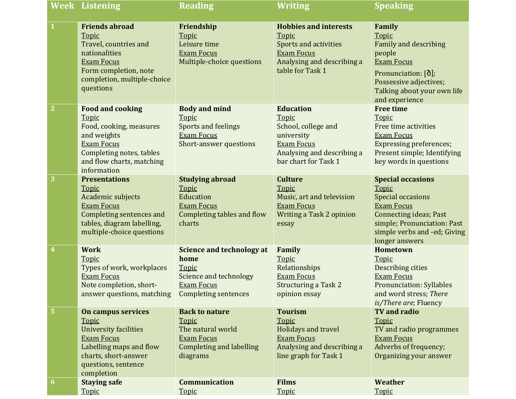|                         | <b>Week Listening</b>                                                                                                                                                          | <b>Reading</b>                                                                                                                 | Writing                                                                                                                                      | <b>Speaking</b>                                                                                                                                                                                      |
|-------------------------|--------------------------------------------------------------------------------------------------------------------------------------------------------------------------------|--------------------------------------------------------------------------------------------------------------------------------|----------------------------------------------------------------------------------------------------------------------------------------------|------------------------------------------------------------------------------------------------------------------------------------------------------------------------------------------------------|
|                         | <b>Friends abroad</b><br>Topic<br>Travel, countries and<br>nationalities<br><b>Exam Focus</b><br>Form completion, note<br>completion, multiple-choice<br>questions             | Friendship<br>Topic<br>Leisure time<br><b>Exam Focus</b><br>Multiple-choice questions                                          | <b>Hobbies and interests</b><br>Topic<br><b>Sports and activities</b><br><b>Exam Focus</b><br>Analysing and describing a<br>table for Task 1 | Family<br>Topic<br><b>Family and describing</b><br>people<br><b>Exam Focus</b><br>Pronunciation: [ $\delta$ ];<br>Possessive adjectives;<br>Talking about your own life<br>and experience            |
| $\overline{\mathbf{2}}$ | <b>Food and cooking</b><br>Topic<br>Food, cooking, measures<br>and weights<br><b>Exam Focus</b><br><b>Completing notes, tables</b><br>and flow charts, matching<br>information | <b>Body and mind</b><br>Topic<br>Sports and feelings<br><b>Exam Focus</b><br>Short-answer questions                            | <b>Education</b><br>Topic<br>School, college and<br>university<br><b>Exam Focus</b><br>Analysing and describing a<br>bar chart for Task 1    | <b>Free time</b><br>Topic<br>Free time activities<br><b>Exam Focus</b><br><b>Expressing preferences;</b><br>Present simple; Identifying<br>key words in questions                                    |
| 3                       | <b>Presentations</b><br>Topic<br>Academic subjects<br><b>Exam Focus</b><br>Completing sentences and<br>tables, diagram labelling,<br>multiple-choice questions                 | <b>Studying abroad</b><br>Topic<br>Education<br><b>Exam Focus</b><br>Completing tables and flow<br>charts                      | <b>Culture</b><br>Topic<br>Music, art and television<br><b>Exam Focus</b><br>Writing a Task 2 opinion<br>essay                               | <b>Special occasions</b><br>Topic<br><b>Special occasions</b><br><b>Exam Focus</b><br><b>Connecting ideas; Past</b><br>simple; Pronunciation: Past<br>simple verbs and -ed; Giving<br>longer answers |
| $\overline{\mathbf{4}}$ | <b>Work</b><br>Topic<br>Types of work, workplaces<br><b>Exam Focus</b><br>Note completion, short-<br>answer questions, matching  Completing sentences                          | <b>Science and technology at</b><br>home<br><b>Topic</b><br>Science and technology<br><b>Exam Focus</b>                        | Family<br>Topic<br>Relationships<br><b>Exam Focus</b><br><b>Structuring a Task 2</b><br>opinion essay                                        | Hometown<br>Topic<br>Describing cities<br><b>Exam Focus</b><br><b>Pronunciation: Syllables</b><br>and word stress; There<br>is/There are; Fluency                                                    |
| 5                       | On campus services<br>Topic<br><b>University facilities</b><br><b>Exam Focus</b><br>Labelling maps and flow<br>charts, short-answer<br>questions, sentence<br>completion       | <b>Back to nature</b><br><b>Topic</b><br>The natural world<br><b>Exam Focus</b><br><b>Completing and labelling</b><br>diagrams | <b>Tourism</b><br>Topic<br>Holidays and travel<br><b>Exam Focus</b><br>Analysing and describing a<br>line graph for Task 1                   | <b>TV</b> and radio<br>Topic<br>TV and radio programmes<br><b>Exam Focus</b><br>Adverbs of frequency;<br>Organizing your answer                                                                      |
| 6                       | <b>Staying safe</b><br>Topic                                                                                                                                                   | <b>Communication</b><br>Topic                                                                                                  | <b>Films</b><br>Topic                                                                                                                        | Weather<br>Topic                                                                                                                                                                                     |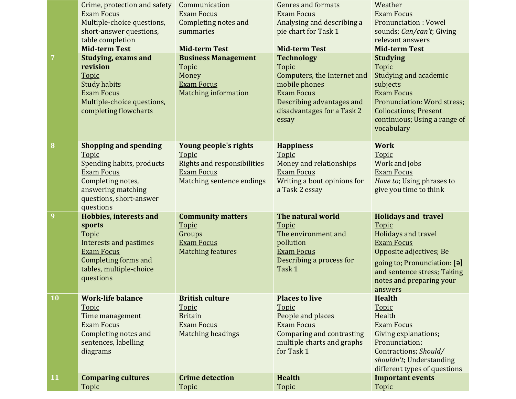|    | Crime, protection and safety<br><b>Exam Focus</b><br>Multiple-choice questions,<br>short-answer questions,<br>table completion<br><b>Mid-term Test</b><br><b>Studying, exams and</b> | Communication<br><b>Exam Focus</b><br>Completing notes and<br>summaries<br><b>Mid-term Test</b><br><b>Business Management</b> | <b>Genres and formats</b><br><b>Exam Focus</b><br>Analysing and describing a<br>pie chart for Task 1<br><b>Mid-term Test</b><br><b>Technology</b>        | Weather<br><b>Exam Focus</b><br><b>Pronunciation: Vowel</b><br>sounds; Can/can't; Giving<br>relevant answers<br><b>Mid-term Test</b><br><b>Studying</b>                                                          |
|----|--------------------------------------------------------------------------------------------------------------------------------------------------------------------------------------|-------------------------------------------------------------------------------------------------------------------------------|----------------------------------------------------------------------------------------------------------------------------------------------------------|------------------------------------------------------------------------------------------------------------------------------------------------------------------------------------------------------------------|
|    | revision<br>Topic<br><b>Study habits</b><br><b>Exam Focus</b><br>Multiple-choice questions,<br>completing flowcharts                                                                 | <b>Topic</b><br>Money<br><b>Exam Focus</b><br><b>Matching information</b>                                                     | Topic<br>Computers, the Internet and<br>mobile phones<br><b>Exam Focus</b><br>Describing advantages and<br>disadvantages for a Task 2<br>essay           | Topic<br>Studying and academic<br>subjects<br><b>Exam Focus</b><br>Pronunciation: Word stress;<br><b>Collocations; Present</b><br>continuous; Using a range of<br>vocabulary                                     |
| 8  | <b>Shopping and spending</b><br>Topic<br>Spending habits, products<br><b>Exam Focus</b><br>Completing notes,<br>answering matching<br>questions, short-answer<br>questions           | Young people's rights<br>Topic<br><b>Rights and responsibilities</b><br><b>Exam Focus</b><br>Matching sentence endings        | <b>Happiness</b><br>Topic<br>Money and relationships<br><b>Exam Focus</b><br>Writing a bout opinions for<br>a Task 2 essay                               | <b>Work</b><br>Topic<br>Work and jobs<br><b>Exam Focus</b><br>Have to; Using phrases to<br>give you time to think                                                                                                |
| 9  | <b>Hobbies, interests and</b><br>sports<br>Topic<br><b>Interests and pastimes</b><br><b>Exam Focus</b><br><b>Completing forms and</b><br>tables, multiple-choice<br>questions        | <b>Community matters</b><br><b>Topic</b><br>Groups<br><b>Exam Focus</b><br><b>Matching features</b>                           | The natural world<br><b>Topic</b><br>The environment and<br>pollution<br><b>Exam Focus</b><br>Describing a process for<br>Task 1                         | <b>Holidays and travel</b><br>Topic<br>Holidays and travel<br><b>Exam Focus</b><br>Opposite adjectives; Be<br>going to; Pronunciation: [ə]<br>and sentence stress; Taking<br>notes and preparing your<br>answers |
| 10 | <b>Work-life balance</b><br>Topic<br>Time management<br><b>Exam Focus</b><br>Completing notes and<br>sentences, labelling<br>diagrams                                                | <b>British culture</b><br><b>Topic</b><br><b>Britain</b><br><b>Exam Focus</b><br>Matching headings                            | <b>Places to live</b><br><b>Topic</b><br>People and places<br><b>Exam Focus</b><br>Comparing and contrasting<br>multiple charts and graphs<br>for Task 1 | <b>Health</b><br>Topic<br>Health<br><b>Exam Focus</b><br>Giving explanations;<br>Pronunciation:<br>Contractions; Should/<br>shouldn't; Understanding<br>different types of questions                             |
| 11 | <b>Comparing cultures</b><br>Topic                                                                                                                                                   | <b>Crime detection</b><br>Topic                                                                                               | <b>Health</b><br>Topic                                                                                                                                   | <b>Important events</b><br>Topic                                                                                                                                                                                 |